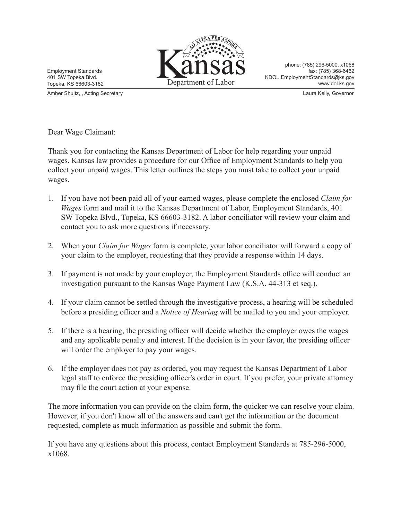

phone: (785) 296-5000, x1068 fax: (785) 368-6462 KDOL.EmploymentStandards@ks.gov www.dol.ks.gov

Employment Standards 401 SW Topeka Blvd. Topeka, KS 66603-3182

Amber Shultz, , Acting Secretary Laura Kelly, Governor

Dear Wage Claimant:

Thank you for contacting the Kansas Department of Labor for help regarding your unpaid wages. Kansas law provides a procedure for our Office of Employment Standards to help you collect your unpaid wages. This letter outlines the steps you must take to collect your unpaid wages.

- 1. If you have not been paid all of your earned wages, please complete the enclosed *Claim for Wages* form and mail it to the Kansas Department of Labor, Employment Standards, 401 SW Topeka Blvd., Topeka, KS 66603-3182. A labor conciliator will review your claim and contact you to ask more questions if necessary.
- 2. When your *Claim for Wages* form is complete, your labor conciliator will forward a copy of your claim to the employer, requesting that they provide a response within 14 days.
- 3. If payment is not made by your employer, the Employment Standards office will conduct an investigation pursuant to the Kansas Wage Payment Law (K.S.A. 44-313 et seq.).
- 4. If your claim cannot be settled through the investigative process, a hearing will be scheduled before a presiding officer and a *Notice of Hearing* will be mailed to you and your employer.
- 5. If there is a hearing, the presiding officer will decide whether the employer owes the wages and any applicable penalty and interest. If the decision is in your favor, the presiding officer will order the employer to pay your wages.
- 6. If the employer does not pay as ordered, you may request the Kansas Department of Labor legal staff to enforce the presiding officer's order in court. If you prefer, your private attorney may file the court action at your expense.

The more information you can provide on the claim form, the quicker we can resolve your claim. However, if you don't know all of the answers and can't get the information or the document requested, complete as much information as possible and submit the form.

If you have any questions about this process, contact Employment Standards at 785-296-5000, x1068.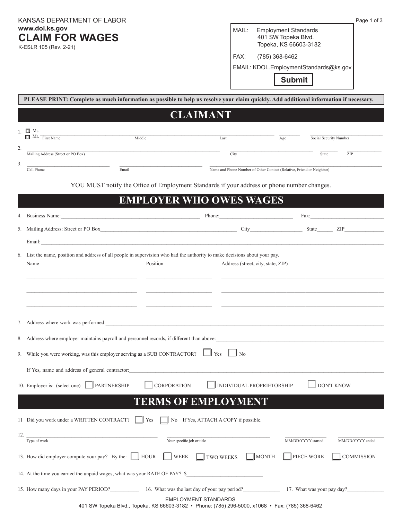KANSAS DEPARTMENT OF LABOR **www.dol.ks.gov CLAIM FOR WAGES**

K-ESLR 105 (Rev. 2-21)

MAIL:Employment Standards 401 SW Topeka Blvd. Topeka, KS 66603-3182

FAX: (785) 368-6462

EMAIL: KDOL.EmploymentStandards@ks.gov

 **Submit**

|                                                                                             | PLEASE PRINT: Complete as much information as possible to help us resolve your claim quickly. Add additional information if necessary.                                                                                         |                                                                       |                                                                                                                                                                                                                                |  |  |  |  |  |
|---------------------------------------------------------------------------------------------|--------------------------------------------------------------------------------------------------------------------------------------------------------------------------------------------------------------------------------|-----------------------------------------------------------------------|--------------------------------------------------------------------------------------------------------------------------------------------------------------------------------------------------------------------------------|--|--|--|--|--|
| <b>CLAIMANT</b>                                                                             |                                                                                                                                                                                                                                |                                                                       |                                                                                                                                                                                                                                |  |  |  |  |  |
|                                                                                             | $1 \Box$ Ms.<br>$\Box$ Mr. $\overline{\phantom{1}}$ First Name<br>Middle                                                                                                                                                       | Last                                                                  | Social Security Number<br>Age                                                                                                                                                                                                  |  |  |  |  |  |
| 2.                                                                                          | Mailing Address (Street or PO Box)                                                                                                                                                                                             | City                                                                  | ZIP<br>State                                                                                                                                                                                                                   |  |  |  |  |  |
| 3.                                                                                          | Email<br>Cell Phone                                                                                                                                                                                                            | Name and Phone Number of Other Contact (Relative, Friend or Neighbor) |                                                                                                                                                                                                                                |  |  |  |  |  |
| YOU MUST notify the Office of Employment Standards if your address or phone number changes. |                                                                                                                                                                                                                                |                                                                       |                                                                                                                                                                                                                                |  |  |  |  |  |
| <b>EMPLOYER WHO OWES WAGES</b>                                                              |                                                                                                                                                                                                                                |                                                                       |                                                                                                                                                                                                                                |  |  |  |  |  |
|                                                                                             | Business Name: Manner Communication of the Communication of the Communication of the Communication of the Communication of the Communication of the Communication of the Communication of the Communication of the Communicati | Phone:                                                                | Fax: The contract of the contract of the contract of the contract of the contract of the contract of the contract of the contract of the contract of the contract of the contract of the contract of the contract of the contr |  |  |  |  |  |
|                                                                                             | 5. Mailing Address: Street or PO Box City State ZIP                                                                                                                                                                            |                                                                       |                                                                                                                                                                                                                                |  |  |  |  |  |
|                                                                                             |                                                                                                                                                                                                                                |                                                                       |                                                                                                                                                                                                                                |  |  |  |  |  |
|                                                                                             | 6. List the name, position and address of all people in supervision who had the authority to make decisions about your pay.<br>Position<br>Name                                                                                | Address (street, city, state, ZIP)                                    |                                                                                                                                                                                                                                |  |  |  |  |  |
|                                                                                             |                                                                                                                                                                                                                                |                                                                       |                                                                                                                                                                                                                                |  |  |  |  |  |
|                                                                                             |                                                                                                                                                                                                                                |                                                                       |                                                                                                                                                                                                                                |  |  |  |  |  |
|                                                                                             |                                                                                                                                                                                                                                |                                                                       |                                                                                                                                                                                                                                |  |  |  |  |  |
|                                                                                             | 7. Address where work was performed:                                                                                                                                                                                           |                                                                       |                                                                                                                                                                                                                                |  |  |  |  |  |
|                                                                                             | 8. Address where employer maintains payroll and personnel records, if different than above:                                                                                                                                    |                                                                       |                                                                                                                                                                                                                                |  |  |  |  |  |
|                                                                                             | 9. While you were working, was this employer serving as a SUB CONTRACTOR?<br>Yes                                                                                                                                               |                                                                       |                                                                                                                                                                                                                                |  |  |  |  |  |
|                                                                                             | If Yes, name and address of general contractor:                                                                                                                                                                                |                                                                       |                                                                                                                                                                                                                                |  |  |  |  |  |
|                                                                                             | 10. Employer is: (select one) JPARTNERSHIP<br><b>CORPORATION</b>                                                                                                                                                               | <b>INDIVIDUAL PROPRIETORSHIP</b>                                      | <b>DON'T KNOW</b>                                                                                                                                                                                                              |  |  |  |  |  |
|                                                                                             | <b>TERMS OF EMPLOYMENT</b>                                                                                                                                                                                                     |                                                                       |                                                                                                                                                                                                                                |  |  |  |  |  |
| No If Yes, ATTACH A COPY if possible.<br>11 Did you work under a WRITTEN CONTRACT?<br>Yes   |                                                                                                                                                                                                                                |                                                                       |                                                                                                                                                                                                                                |  |  |  |  |  |
| 12.                                                                                         |                                                                                                                                                                                                                                |                                                                       |                                                                                                                                                                                                                                |  |  |  |  |  |
|                                                                                             | Type of work<br>Your specific job or title                                                                                                                                                                                     |                                                                       | MM/DD/YYYY started<br>MM/DD/YYYY ended                                                                                                                                                                                         |  |  |  |  |  |
|                                                                                             | 13. How did employer compute your pay? By the: $\parallel$ HOUR<br>WEEK<br>TWO WEEKS<br><b>MONTH</b><br>PIECE WORK<br><b>COMMISSION</b>                                                                                        |                                                                       |                                                                                                                                                                                                                                |  |  |  |  |  |
| 14. At the time you earned the unpaid wages, what was your RATE OF PAY? \$                  |                                                                                                                                                                                                                                |                                                                       |                                                                                                                                                                                                                                |  |  |  |  |  |
|                                                                                             | 15. How many days in your PAY PERIOD? 16. What was the last day of your pay period? 17. What was your pay day?                                                                                                                 |                                                                       |                                                                                                                                                                                                                                |  |  |  |  |  |
|                                                                                             | EMPLOYMENT STANDARDS<br>401 SW Topeka Blvd., Topeka, KS 66603-3182 · Phone: (785) 296-5000, x1068 · Fax: (785) 368-6462                                                                                                        |                                                                       |                                                                                                                                                                                                                                |  |  |  |  |  |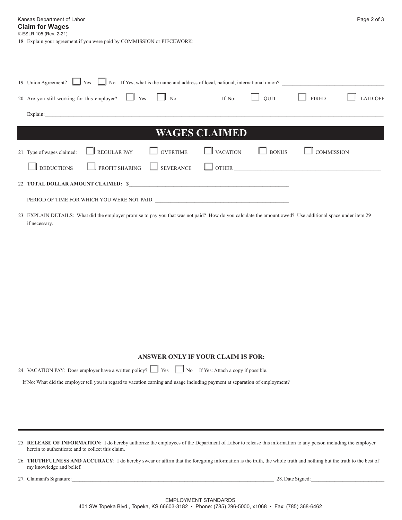18. Explain your agreement if you were paid by COMMISSION or PIECEWORK:

| 19. Union Agreement? $\Box$ Yes $\Box$ No If Yes, what is the name and address of local, national, international union?<br>If No: $\Box$ QUIT $\Box$ FIRED |                 |              |                   |          |  |  |  |
|------------------------------------------------------------------------------------------------------------------------------------------------------------|-----------------|--------------|-------------------|----------|--|--|--|
| 20. Are you still working for this employer? $\Box$ Yes $\Box$ No                                                                                          |                 |              |                   | LAID-OFF |  |  |  |
| Explain:<br><u> 1989 - Johann John Stone, markin sanat masjid asl nashrida asl nashrida asl nashrida asl nashrida asl nashri</u>                           |                 |              |                   |          |  |  |  |
| <b>WAGES CLAIMED</b>                                                                                                                                       |                 |              |                   |          |  |  |  |
| 21. Type of wages claimed: <u>NeGULAR PAY</u><br>$\Box$ OVERTIME                                                                                           | $\Box$ VACATION | $\Box$ BONUS | <b>COMMISSION</b> |          |  |  |  |
| PROFIT SHARING SEVERANCE OTHER<br><b>DEDUCTIONS</b>                                                                                                        |                 |              |                   |          |  |  |  |
|                                                                                                                                                            |                 |              |                   |          |  |  |  |
|                                                                                                                                                            |                 |              |                   |          |  |  |  |

23. EXPLAIN DETAILS: What did the employer promise to pay you that was not paid? How do you calculate the amount owed? Use additional space under item 29 if necessary.

## **ANSWER ONLY IF YOUR CLAIM IS FOR:**

24. VACATION PAY: Does employer have a written policy?  $\Box$  Yes  $\Box$  No If Yes: Attach a copy if possible.

If No: What did the employer tell you in regard to vacation earning and usage including payment at separation of employment?

25. **RELEASE OF INFORMATION:** I do hereby authorize the employees of the Department of Labor to release this information to any person including the employer herein to authenticate and to collect this claim.

- 26. **TRUTHFULNESS AND ACCURACY**: I do hereby swear or affirm that the foregoing information is the truth, the whole truth and nothing but the truth to the best of my knowledge and belief.
- 27. Claimant's Signature: 28. Date Signed: 28. Date Signed: